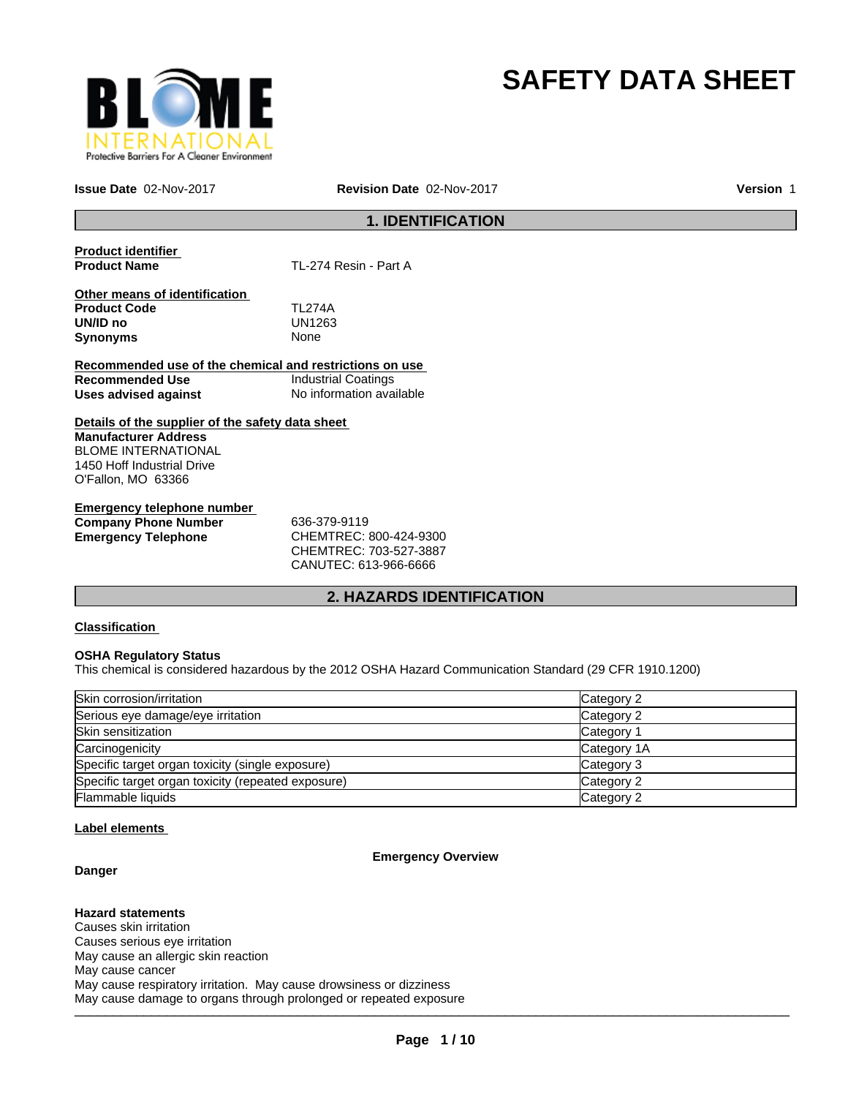

# **SAFETY DATA SHEET**

**Issue Date** 02-Nov-2017 **Revision Date** 02-Nov-2017

**Version** 1

# **1. IDENTIFICATION**

**Product identifier** 

**TL-274 Resin - Part A** 

**Other means of identification Product Code** TL274A **UN/ID no** UN12<br>**Synonyms** None **Synonyms** 

**Recommended use of the chemical and restrictions on use Recommended Use** Industrial Coatings **Uses advised against** No information available

**Details of the supplier of the safety data sheet Manufacturer Address** BLOME INTERNATIONAL 1450 Hoff Industrial Drive O'Fallon, MO 63366

**Emergency telephone number Company Phone Number** 636-379-9119 **Emergency Telephone** CHEMTREC: 800-424-9300

CHEMTREC: 703-527-3887 CANUTEC: 613-966-6666

# **2. HAZARDS IDENTIFICATION**

# **Classification**

# **OSHA Regulatory Status**

This chemical is considered hazardous by the 2012 OSHA Hazard Communication Standard (29 CFR 1910.1200)

| Skin corrosion/irritation                          | Category 2  |
|----------------------------------------------------|-------------|
| Serious eye damage/eye irritation                  | Category 2  |
| Skin sensitization                                 | Category 1  |
| Carcinogenicity                                    | Category 1A |
| Specific target organ toxicity (single exposure)   | Category 3  |
| Specific target organ toxicity (repeated exposure) | Category 2  |
| Flammable liquids                                  | Category 2  |

# **Label elements**

# **Emergency Overview**

**Danger**

 $\sim$  , date dangle is significantly in prospective supposes. **Hazard statements** Causes skin irritation Causes serious eye irritation May cause an allergic skin reaction May cause cancer May cause respiratory irritation. May cause drowsiness or dizziness May cause damage to organs through prolonged or repeated exposure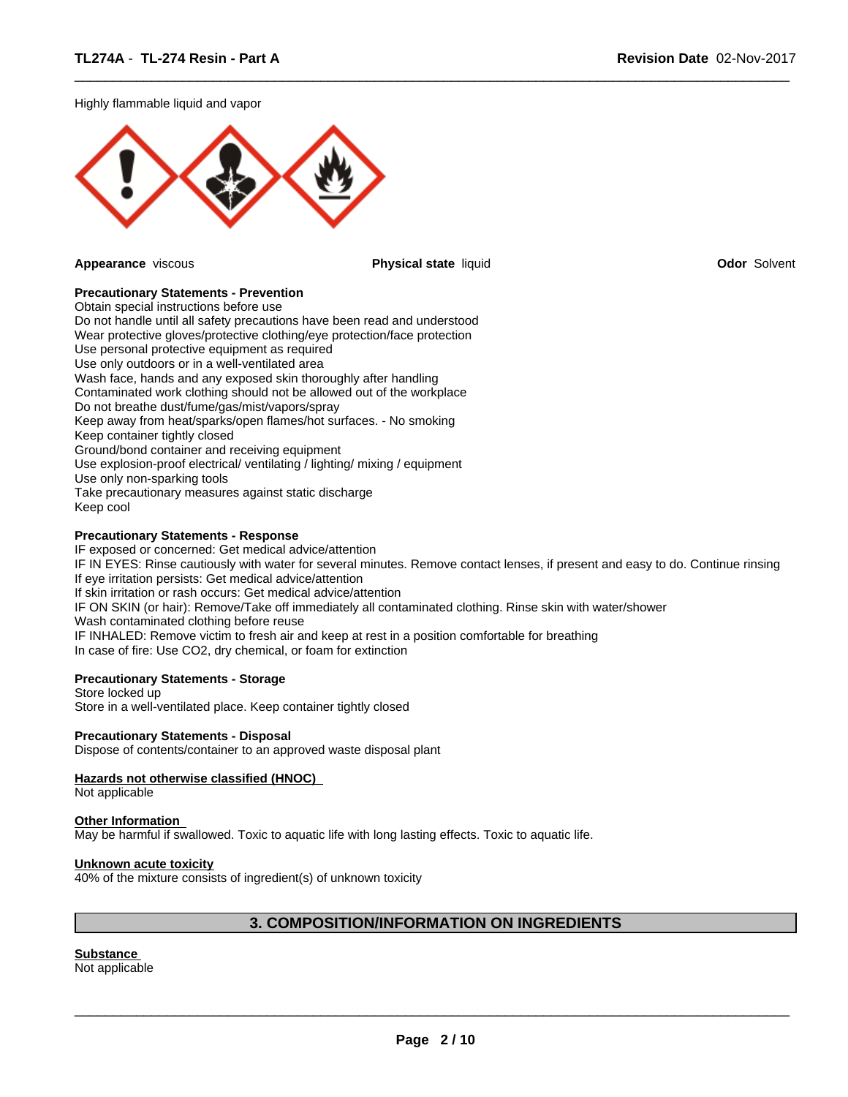Highly flammable liquid and vapor



**Appearance** viscous **Physical state** liquid **Odor** Solvent

 $\overline{\phantom{a}}$  ,  $\overline{\phantom{a}}$  ,  $\overline{\phantom{a}}$  ,  $\overline{\phantom{a}}$  ,  $\overline{\phantom{a}}$  ,  $\overline{\phantom{a}}$  ,  $\overline{\phantom{a}}$  ,  $\overline{\phantom{a}}$  ,  $\overline{\phantom{a}}$  ,  $\overline{\phantom{a}}$  ,  $\overline{\phantom{a}}$  ,  $\overline{\phantom{a}}$  ,  $\overline{\phantom{a}}$  ,  $\overline{\phantom{a}}$  ,  $\overline{\phantom{a}}$  ,  $\overline{\phantom{a}}$ 

# **Precautionary Statements - Prevention**

Obtain special instructions before use Do not handle until all safety precautions have been read and understood Wear protective gloves/protective clothing/eye protection/face protection Use personal protective equipment as required Use only outdoors or in a well-ventilated area Wash face, hands and any exposed skin thoroughly after handling Contaminated work clothing should not be allowed out of the workplace Do not breathe dust/fume/gas/mist/vapors/spray Keep away from heat/sparks/open flames/hot surfaces. - No smoking Keep container tightly closed Ground/bond container and receiving equipment Use explosion-proof electrical/ ventilating / lighting/ mixing / equipment Use only non-sparking tools Take precautionary measures against static discharge Keep cool

# **Precautionary Statements - Response**

IF exposed or concerned: Get medical advice/attention IF IN EYES: Rinse cautiously with water for several minutes. Remove contact lenses, if present and easy to do. Continue rinsing If eye irritation persists: Get medical advice/attention If skin irritation or rash occurs: Get medical advice/attention IF ON SKIN (or hair): Remove/Take off immediately all contaminated clothing. Rinse skin with water/shower Wash contaminated clothing before reuse IF INHALED: Remove victim to fresh air and keep at rest in a position comfortable for breathing In case of fire: Use CO2, dry chemical, or foam for extinction

# **Precautionary Statements - Storage**

Store locked up Store in a well-ventilated place. Keep container tightly closed

# **Precautionary Statements - Disposal**

Dispose of contents/container to an approved waste disposal plant

# **Hazards not otherwise classified (HNOC)**

Not applicable

### **Other Information**

May be harmful if swallowed. Toxic to aquatic life with long lasting effects. Toxic to aquatic life.

### **Unknown acute toxicity**

40% of the mixture consists of ingredient(s) of unknown toxicity

# **3. COMPOSITION/INFORMATION ON INGREDIENTS**

**Substance**  Not applicable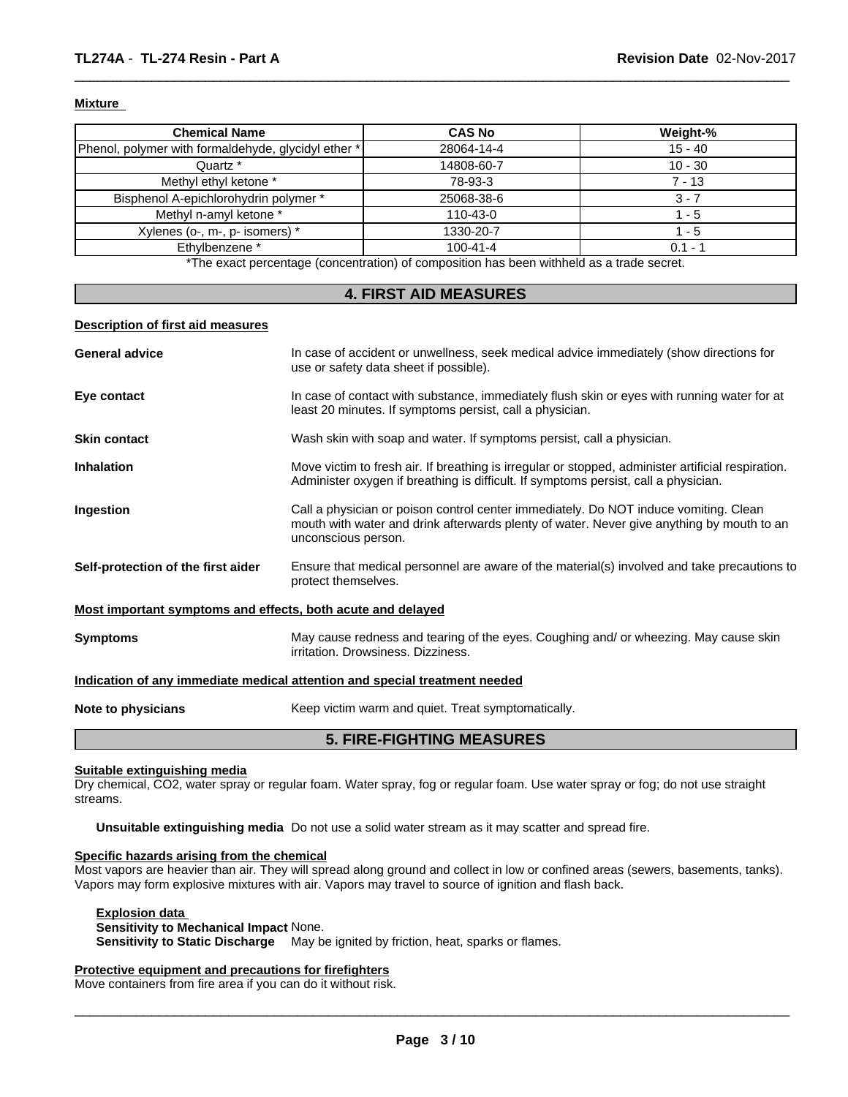# **Mixture**

| <b>Chemical Name</b>                                | <b>CAS No</b>  | Weight-%  |
|-----------------------------------------------------|----------------|-----------|
| Phenol, polymer with formaldehyde, glycidyl ether * | 28064-14-4     | $15 - 40$ |
| Quartz *                                            | 14808-60-7     | $10 - 30$ |
| Methyl ethyl ketone *                               | 78-93-3        | 7 - 13    |
| Bisphenol A-epichlorohydrin polymer *               | 25068-38-6     | 3 - 7     |
| Methyl n-amyl ketone *                              | $110 - 43 - 0$ | ' - 5     |
| Xylenes (o-, m-, p- isomers) *                      | 1330-20-7      | $-5$      |
| Ethylbenzene *                                      | $100 - 41 - 4$ | $0.1 - 1$ |
|                                                     |                |           |

 $\overline{\phantom{a}}$  ,  $\overline{\phantom{a}}$  ,  $\overline{\phantom{a}}$  ,  $\overline{\phantom{a}}$  ,  $\overline{\phantom{a}}$  ,  $\overline{\phantom{a}}$  ,  $\overline{\phantom{a}}$  ,  $\overline{\phantom{a}}$  ,  $\overline{\phantom{a}}$  ,  $\overline{\phantom{a}}$  ,  $\overline{\phantom{a}}$  ,  $\overline{\phantom{a}}$  ,  $\overline{\phantom{a}}$  ,  $\overline{\phantom{a}}$  ,  $\overline{\phantom{a}}$  ,  $\overline{\phantom{a}}$ 

\*The exact percentage (concentration) of composition has been withheld as a trade secret.

# **4. FIRST AID MEASURES**

### **Description of first aid measures**

|                                                             | <b>5. FIRE-FIGHTING MEASURES</b>                                                                                                                                                                         |
|-------------------------------------------------------------|----------------------------------------------------------------------------------------------------------------------------------------------------------------------------------------------------------|
| Note to physicians                                          | Keep victim warm and quiet. Treat symptomatically.                                                                                                                                                       |
|                                                             | Indication of any immediate medical attention and special treatment needed                                                                                                                               |
| <b>Symptoms</b>                                             | May cause redness and tearing of the eyes. Coughing and/ or wheezing. May cause skin<br>irritation. Drowsiness. Dizziness.                                                                               |
| Most important symptoms and effects, both acute and delayed |                                                                                                                                                                                                          |
| Self-protection of the first aider                          | Ensure that medical personnel are aware of the material(s) involved and take precautions to<br>protect themselves.                                                                                       |
| Ingestion                                                   | Call a physician or poison control center immediately. Do NOT induce vomiting. Clean<br>mouth with water and drink afterwards plenty of water. Never give anything by mouth to an<br>unconscious person. |
| <b>Inhalation</b>                                           | Move victim to fresh air. If breathing is irregular or stopped, administer artificial respiration.<br>Administer oxygen if breathing is difficult. If symptoms persist, call a physician.                |
| <b>Skin contact</b>                                         | Wash skin with soap and water. If symptoms persist, call a physician.                                                                                                                                    |
| Eye contact                                                 | In case of contact with substance, immediately flush skin or eyes with running water for at<br>least 20 minutes. If symptoms persist, call a physician.                                                  |
| <b>General advice</b>                                       | In case of accident or unwellness, seek medical advice immediately (show directions for<br>use or safety data sheet if possible).                                                                        |
|                                                             |                                                                                                                                                                                                          |

### **Suitable extinguishing media**

Dry chemical, CO2, water spray or regular foam. Water spray, fog or regular foam. Use water spray or fog; do not use straight streams.

**Unsuitable extinguishing media** Do not use a solid water stream as it may scatter and spread fire.

# **Specific hazards arising from the chemical**

Most vapors are heavier than air. They will spread along ground and collect in low or confined areas (sewers, basements, tanks). Vapors may form explosive mixtures with air. Vapors may travel to source of ignition and flash back.

# **Explosion data**

# **Sensitivity to Mechanical Impact** None.

**Sensitivity to Static Discharge** May be ignited by friction, heat, sparks or flames.

# **Protective equipment and precautions for firefighters**

Move containers from fire area if you can do it without risk.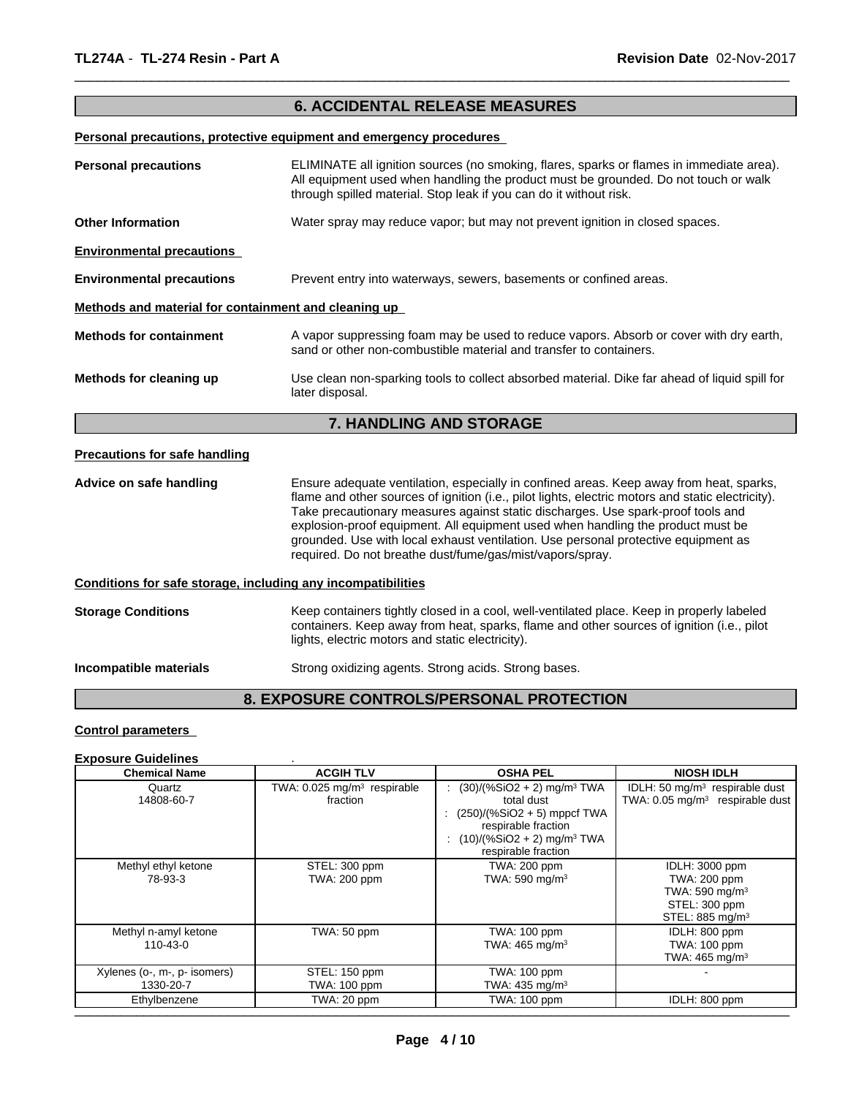# **6. ACCIDENTAL RELEASE MEASURES**

 $\overline{\phantom{a}}$  ,  $\overline{\phantom{a}}$  ,  $\overline{\phantom{a}}$  ,  $\overline{\phantom{a}}$  ,  $\overline{\phantom{a}}$  ,  $\overline{\phantom{a}}$  ,  $\overline{\phantom{a}}$  ,  $\overline{\phantom{a}}$  ,  $\overline{\phantom{a}}$  ,  $\overline{\phantom{a}}$  ,  $\overline{\phantom{a}}$  ,  $\overline{\phantom{a}}$  ,  $\overline{\phantom{a}}$  ,  $\overline{\phantom{a}}$  ,  $\overline{\phantom{a}}$  ,  $\overline{\phantom{a}}$ 

# **Personal precautions, protective equipment and emergency procedures**

| <b>Personal precautions</b>                                  | ELIMINATE all ignition sources (no smoking, flares, sparks or flames in immediate area).<br>All equipment used when handling the product must be grounded. Do not touch or walk<br>through spilled material. Stop leak if you can do it without risk.                                                                                                                                                                                                                                                                  |
|--------------------------------------------------------------|------------------------------------------------------------------------------------------------------------------------------------------------------------------------------------------------------------------------------------------------------------------------------------------------------------------------------------------------------------------------------------------------------------------------------------------------------------------------------------------------------------------------|
| <b>Other Information</b>                                     | Water spray may reduce vapor; but may not prevent ignition in closed spaces.                                                                                                                                                                                                                                                                                                                                                                                                                                           |
| <b>Environmental precautions</b>                             |                                                                                                                                                                                                                                                                                                                                                                                                                                                                                                                        |
| <b>Environmental precautions</b>                             | Prevent entry into waterways, sewers, basements or confined areas.                                                                                                                                                                                                                                                                                                                                                                                                                                                     |
| Methods and material for containment and cleaning up         |                                                                                                                                                                                                                                                                                                                                                                                                                                                                                                                        |
| <b>Methods for containment</b>                               | A vapor suppressing foam may be used to reduce vapors. Absorb or cover with dry earth,<br>sand or other non-combustible material and transfer to containers.                                                                                                                                                                                                                                                                                                                                                           |
| Methods for cleaning up                                      | Use clean non-sparking tools to collect absorbed material. Dike far ahead of liquid spill for<br>later disposal.                                                                                                                                                                                                                                                                                                                                                                                                       |
|                                                              | <b>7. HANDLING AND STORAGE</b>                                                                                                                                                                                                                                                                                                                                                                                                                                                                                         |
| <b>Precautions for safe handling</b>                         |                                                                                                                                                                                                                                                                                                                                                                                                                                                                                                                        |
| Advice on safe handling                                      | Ensure adequate ventilation, especially in confined areas. Keep away from heat, sparks,<br>flame and other sources of ignition (i.e., pilot lights, electric motors and static electricity).<br>Take precautionary measures against static discharges. Use spark-proof tools and<br>explosion-proof equipment. All equipment used when handling the product must be<br>grounded. Use with local exhaust ventilation. Use personal protective equipment as<br>required. Do not breathe dust/fume/gas/mist/vapors/spray. |
| Conditions for safe storage, including any incompatibilities |                                                                                                                                                                                                                                                                                                                                                                                                                                                                                                                        |
| <b>Storage Conditions</b>                                    | Keep containers tightly closed in a cool, well-ventilated place. Keep in properly labeled<br>containers. Keep away from heat, sparks, flame and other sources of ignition (i.e., pilot<br>lights, electric motors and static electricity).                                                                                                                                                                                                                                                                             |
| Incompatible materials                                       | Strong oxidizing agents. Strong acids. Strong bases.                                                                                                                                                                                                                                                                                                                                                                                                                                                                   |
|                                                              |                                                                                                                                                                                                                                                                                                                                                                                                                                                                                                                        |

# **8. EXPOSURE CONTROLS/PERSONAL PROTECTION**

# **Control parameters**

### **Exposure Guidelines** .

| <b>Chemical Name</b>                      | <b>ACGIH TLV</b>                                      | <b>OSHA PEL</b>                                                                                                                                                                   | <b>NIOSH IDLH</b>                                                                                              |
|-------------------------------------------|-------------------------------------------------------|-----------------------------------------------------------------------------------------------------------------------------------------------------------------------------------|----------------------------------------------------------------------------------------------------------------|
| Quartz<br>14808-60-7                      | TWA: $0.025$ mg/m <sup>3</sup> respirable<br>fraction | $(30)/(%SiO2 + 2)$ mg/m <sup>3</sup> TWA<br>total dust<br>$(250)/(%SiO2 + 5)$ mppcf TWA<br>respirable fraction<br>$(10)/(%SiO2 + 2)$ mg/m <sup>3</sup> TWA<br>respirable fraction | IDLH: 50 mg/m <sup>3</sup> respirable dust<br>TWA: 0.05 mg/m <sup>3</sup> respirable dust                      |
| Methyl ethyl ketone<br>78-93-3            | STEL: 300 ppm<br><b>TWA: 200 ppm</b>                  | TWA: 200 ppm<br>TWA: 590 mg/m <sup>3</sup>                                                                                                                                        | IDLH: 3000 ppm<br>TWA: 200 ppm<br>TWA: $590$ mg/m <sup>3</sup><br>STEL: 300 ppm<br>STEL: 885 mg/m <sup>3</sup> |
| Methyl n-amyl ketone<br>110-43-0          | TWA: 50 ppm                                           | <b>TWA: 100 ppm</b><br>TWA: $465 \text{ mg/m}^3$                                                                                                                                  | IDLH: 800 ppm<br>TWA: 100 ppm<br>TWA: $465 \text{ mg/m}^3$                                                     |
| Xylenes (o-, m-, p- isomers)<br>1330-20-7 | STEL: 150 ppm<br>TWA: 100 ppm                         | TWA: 100 ppm<br>TWA: $435 \text{ mg/m}^3$                                                                                                                                         |                                                                                                                |
| Ethylbenzene                              | TWA: 20 ppm                                           | TWA: 100 ppm                                                                                                                                                                      | IDLH: 800 ppm                                                                                                  |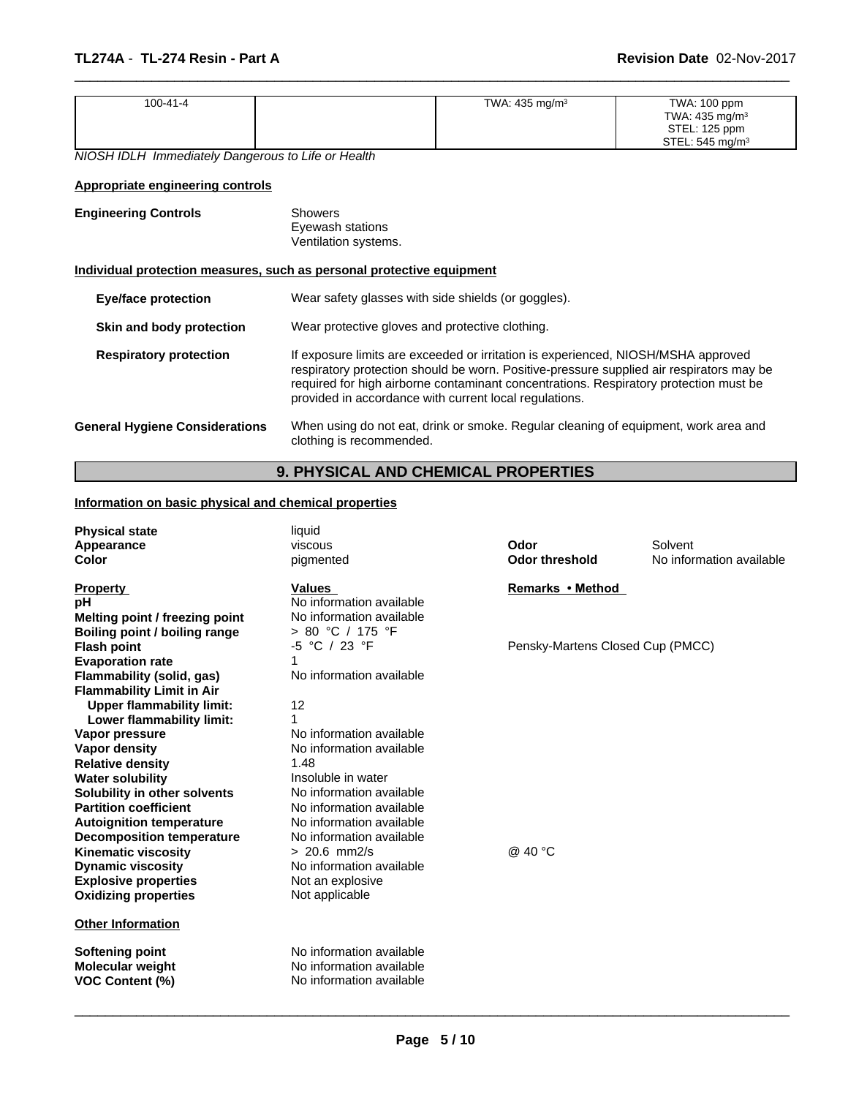| 100-41-4 | TWA: $435 \text{ mg/m}^3$ | TWA: 100 ppm       |  |
|----------|---------------------------|--------------------|--|
|          |                           | TWA: 435 mg/m $3$  |  |
|          |                           | STEL: 125 ppm      |  |
|          |                           | STEL: 545 mg/m $3$ |  |

 $\overline{\phantom{a}}$  ,  $\overline{\phantom{a}}$  ,  $\overline{\phantom{a}}$  ,  $\overline{\phantom{a}}$  ,  $\overline{\phantom{a}}$  ,  $\overline{\phantom{a}}$  ,  $\overline{\phantom{a}}$  ,  $\overline{\phantom{a}}$  ,  $\overline{\phantom{a}}$  ,  $\overline{\phantom{a}}$  ,  $\overline{\phantom{a}}$  ,  $\overline{\phantom{a}}$  ,  $\overline{\phantom{a}}$  ,  $\overline{\phantom{a}}$  ,  $\overline{\phantom{a}}$  ,  $\overline{\phantom{a}}$ 

*NIOSH IDLH Immediately Dangerous to Life or Health*

# **Appropriate engineering controls**

| <b>Engineering Controls</b> | Showers<br>Eyewash stations<br>Ventilation systems. |
|-----------------------------|-----------------------------------------------------|
|                             |                                                     |

# **Individual protection measures, such as personal protective equipment**

| <b>Eye/face protection</b>            | Wear safety glasses with side shields (or goggles).                                                                                                                                                                                                                                                                              |
|---------------------------------------|----------------------------------------------------------------------------------------------------------------------------------------------------------------------------------------------------------------------------------------------------------------------------------------------------------------------------------|
| Skin and body protection              | Wear protective gloves and protective clothing.                                                                                                                                                                                                                                                                                  |
| <b>Respiratory protection</b>         | If exposure limits are exceeded or irritation is experienced, NIOSH/MSHA approved<br>respiratory protection should be worn. Positive-pressure supplied air respirators may be<br>required for high airborne contaminant concentrations. Respiratory protection must be<br>provided in accordance with current local regulations. |
| <b>General Hygiene Considerations</b> | When using do not eat, drink or smoke. Regular cleaning of equipment, work area and<br>clothing is recommended.                                                                                                                                                                                                                  |

# **9. PHYSICAL AND CHEMICAL PROPERTIES**

# **Information on basic physical and chemical properties**

| <b>Physical state</b><br>Appearance<br>Color                                                                                                             | liquid<br>viscous<br>pigmented                                                                                 | Odor<br><b>Odor threshold</b>    | Solvent<br>No information available |
|----------------------------------------------------------------------------------------------------------------------------------------------------------|----------------------------------------------------------------------------------------------------------------|----------------------------------|-------------------------------------|
| <b>Property</b><br>рH<br>Melting point / freezing point<br>Boiling point / boiling range                                                                 | <b>Values</b><br>No information available<br>No information available<br>> 80 °C / 175 °F                      | Remarks • Method                 |                                     |
| <b>Flash point</b><br><b>Evaporation rate</b><br>Flammability (solid, gas)                                                                               | -5 °C / 23 °F<br>1<br>No information available                                                                 | Pensky-Martens Closed Cup (PMCC) |                                     |
| <b>Flammability Limit in Air</b><br><b>Upper flammability limit:</b><br>Lower flammability limit:                                                        | 12                                                                                                             |                                  |                                     |
| Vapor pressure<br><b>Vapor density</b>                                                                                                                   | No information available<br>No information available                                                           |                                  |                                     |
| <b>Relative density</b><br><b>Water solubility</b><br>Solubility in other solvents<br><b>Partition coefficient</b><br><b>Autoignition temperature</b>    | 1.48<br>Insoluble in water<br>No information available<br>No information available<br>No information available |                                  |                                     |
| <b>Decomposition temperature</b><br><b>Kinematic viscosity</b><br><b>Dynamic viscosity</b><br><b>Explosive properties</b><br><b>Oxidizing properties</b> | No information available<br>$> 20.6$ mm2/s<br>No information available<br>Not an explosive<br>Not applicable   | @ 40 °C                          |                                     |
| <b>Other Information</b>                                                                                                                                 |                                                                                                                |                                  |                                     |
| <b>Softening point</b><br>Molecular weight<br><b>VOC Content (%)</b>                                                                                     | No information available<br>No information available<br>No information available                               |                                  |                                     |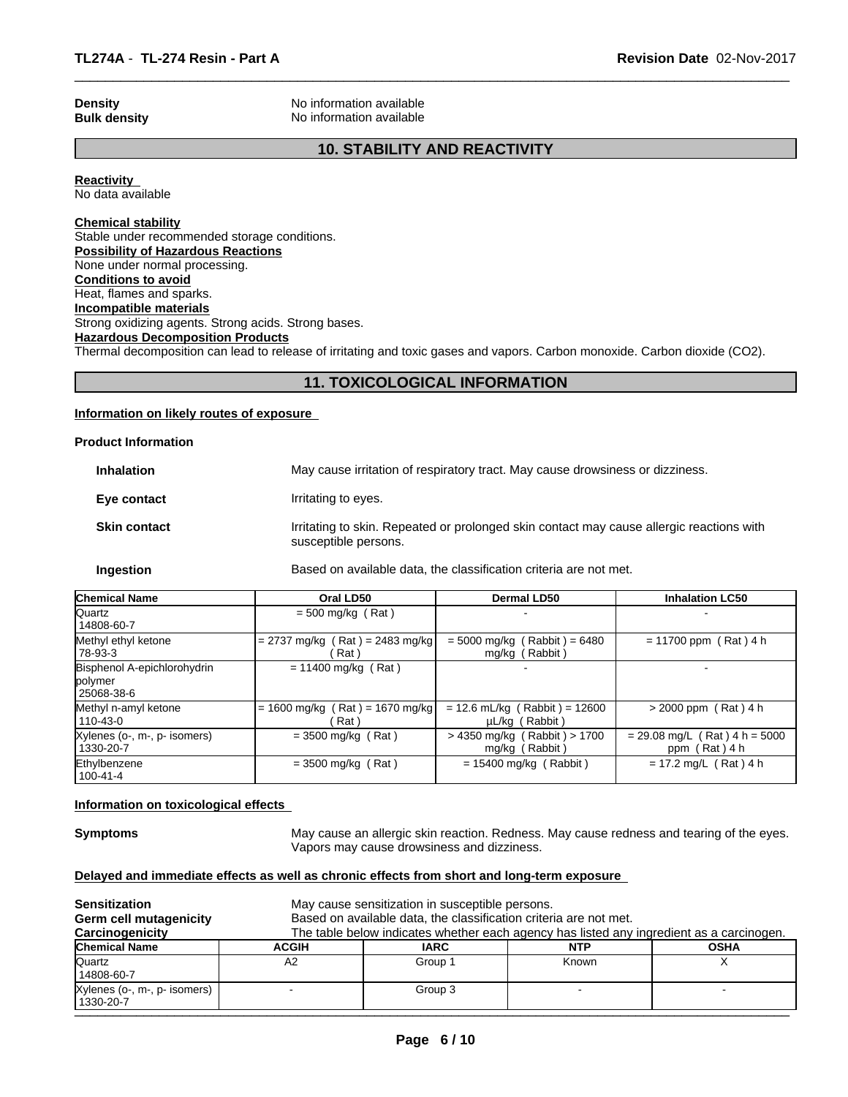**Density Density Density Reserves** No information available **Bulk density No information available No information available** 

# **10. STABILITY AND REACTIVITY**

 $\overline{\phantom{a}}$  ,  $\overline{\phantom{a}}$  ,  $\overline{\phantom{a}}$  ,  $\overline{\phantom{a}}$  ,  $\overline{\phantom{a}}$  ,  $\overline{\phantom{a}}$  ,  $\overline{\phantom{a}}$  ,  $\overline{\phantom{a}}$  ,  $\overline{\phantom{a}}$  ,  $\overline{\phantom{a}}$  ,  $\overline{\phantom{a}}$  ,  $\overline{\phantom{a}}$  ,  $\overline{\phantom{a}}$  ,  $\overline{\phantom{a}}$  ,  $\overline{\phantom{a}}$  ,  $\overline{\phantom{a}}$ 

**Reactivity**  No data available

# **Chemical stability**

Stable under recommended storage conditions. **Possibility of Hazardous Reactions** None under normal processing. **Conditions to avoid** Heat, flames and sparks. **Incompatible materials** Strong oxidizing agents. Strong acids. Strong bases. **Hazardous Decomposition Products** Thermal decomposition can lead to release of irritating and toxic gases and vapors. Carbon monoxide. Carbon dioxide (CO2).

# **11. TOXICOLOGICAL INFORMATION**

# **Information on likely routes of exposure**

# **Product Information**

| <b>Inhalation</b>   | May cause irritation of respiratory tract. May cause drowsiness or dizziness.                                    |
|---------------------|------------------------------------------------------------------------------------------------------------------|
| Eye contact         | Irritating to eyes.                                                                                              |
| <b>Skin contact</b> | Irritating to skin. Repeated or prolonged skin contact may cause allergic reactions with<br>susceptible persons. |
| Ingestion           | Based on available data, the classification criteria are not met.                                                |

| <b>Chemical Name</b>                                 | Oral LD50                                  | <b>Dermal LD50</b>                                | <b>Inhalation LC50</b>                           |
|------------------------------------------------------|--------------------------------------------|---------------------------------------------------|--------------------------------------------------|
| Quartz<br>  14808-60-7                               | $= 500$ mg/kg (Rat)                        |                                                   |                                                  |
| Methyl ethyl ketone<br> 78-93-3                      | $= 2737$ mg/kg (Rat) = 2483 mg/kg<br>Rat \ | $= 5000$ mg/kg (Rabbit) = 6480<br>mg/kg (Rabbit)  | $= 11700$ ppm (Rat) 4 h                          |
| Bisphenol A-epichlorohydrin<br>polymer<br>25068-38-6 | $= 11400$ mg/kg (Rat)                      |                                                   |                                                  |
| Methyl n-amyl ketone<br>  110-43-0                   | $= 1600$ mg/kg (Rat) = 1670 mg/kg<br>Rat ) | $= 12.6$ mL/kg (Rabbit) = 12600<br>µL/kg (Rabbit) | $> 2000$ ppm (Rat) 4 h                           |
| Xylenes (o-, m-, p- isomers)<br>  1330-20-7          | $=$ 3500 mg/kg (Rat)                       | > 4350 mg/kg (Rabbit) > 1700<br>mg/kg (Rabbit)    | $= 29.08$ mg/L (Rat) 4 h = 5000<br>ppm (Rat) 4 h |
| Ethylbenzene<br>  100-41-4                           | $=$ 3500 mg/kg (Rat)                       | $= 15400$ mg/kg (Rabbit)                          | $= 17.2$ mg/L (Rat) 4 h                          |

# **Information on toxicological effects**

**Symptoms** May cause an allergic skin reaction. Redness. May cause redness and tearing of the eyes. Vapors may cause drowsiness and dizziness.

# **Delayed and immediate effects as well as chronic effects from short and long-term exposure**

| <b>Sensitization</b><br>Germ cell mutagenicity<br>Carcinogenicity |              | May cause sensitization in susceptible persons.<br>Based on available data, the classification criteria are not met. | The table below indicates whether each agency has listed any ingredient as a carcinogen. |             |
|-------------------------------------------------------------------|--------------|----------------------------------------------------------------------------------------------------------------------|------------------------------------------------------------------------------------------|-------------|
| <b>Chemical Name</b>                                              | <b>ACGIH</b> | <b>IARC</b>                                                                                                          | <b>NTP</b>                                                                               | <b>OSHA</b> |
| Quartz<br>14808-60-7                                              | A2           | Group 1                                                                                                              | Known                                                                                    |             |
| Xylenes (o-, m-, p- isomers)<br>1330-20-7                         |              | Group 3                                                                                                              |                                                                                          |             |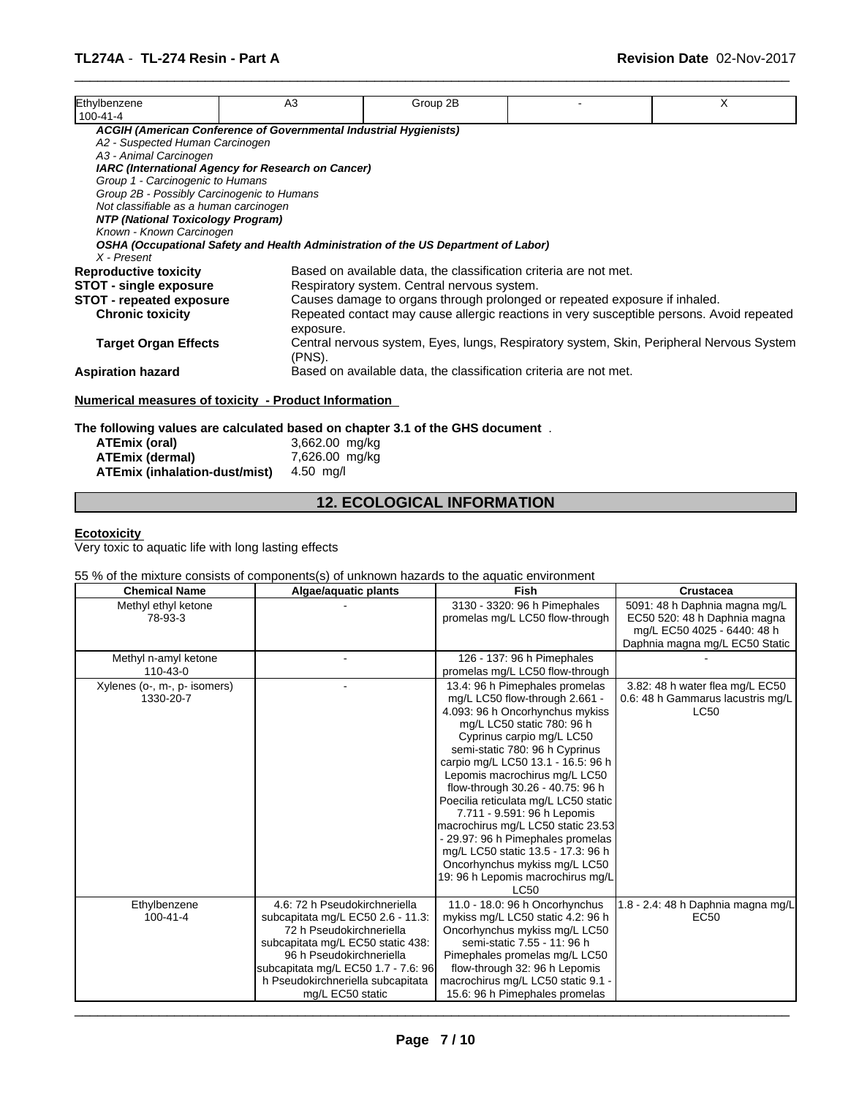| Ethylbenzene<br>100-41-4                   | A <sub>3</sub>                                                                     | Group 2B                                    |                                                                                           | X |
|--------------------------------------------|------------------------------------------------------------------------------------|---------------------------------------------|-------------------------------------------------------------------------------------------|---|
|                                            | ACGIH (American Conference of Governmental Industrial Hygienists)                  |                                             |                                                                                           |   |
| A2 - Suspected Human Carcinogen            |                                                                                    |                                             |                                                                                           |   |
| A3 - Animal Carcinogen                     |                                                                                    |                                             |                                                                                           |   |
|                                            | IARC (International Agency for Research on Cancer)                                 |                                             |                                                                                           |   |
| Group 1 - Carcinogenic to Humans           |                                                                                    |                                             |                                                                                           |   |
| Group 2B - Possibly Carcinogenic to Humans |                                                                                    |                                             |                                                                                           |   |
| Not classifiable as a human carcinogen     |                                                                                    |                                             |                                                                                           |   |
| NTP (National Toxicology Program)          |                                                                                    |                                             |                                                                                           |   |
| Known - Known Carcinogen                   |                                                                                    |                                             |                                                                                           |   |
| X - Present                                | OSHA (Occupational Safety and Health Administration of the US Department of Labor) |                                             |                                                                                           |   |
| <b>Reproductive toxicity</b>               |                                                                                    |                                             | Based on available data, the classification criteria are not met.                         |   |
| <b>STOT - single exposure</b>              |                                                                                    | Respiratory system. Central nervous system. |                                                                                           |   |
| <b>STOT - repeated exposure</b>            |                                                                                    |                                             | Causes damage to organs through prolonged or repeated exposure if inhaled.                |   |
| <b>Chronic toxicity</b>                    | exposure.                                                                          |                                             | Repeated contact may cause allergic reactions in very susceptible persons. Avoid repeated |   |
|                                            |                                                                                    |                                             | Central nervous system, Eyes, lungs, Respiratory system, Skin, Peripheral Nervous System  |   |
| <b>Target Organ Effects</b>                | (PNS).                                                                             |                                             |                                                                                           |   |

 $\overline{\phantom{a}}$  ,  $\overline{\phantom{a}}$  ,  $\overline{\phantom{a}}$  ,  $\overline{\phantom{a}}$  ,  $\overline{\phantom{a}}$  ,  $\overline{\phantom{a}}$  ,  $\overline{\phantom{a}}$  ,  $\overline{\phantom{a}}$  ,  $\overline{\phantom{a}}$  ,  $\overline{\phantom{a}}$  ,  $\overline{\phantom{a}}$  ,  $\overline{\phantom{a}}$  ,  $\overline{\phantom{a}}$  ,  $\overline{\phantom{a}}$  ,  $\overline{\phantom{a}}$  ,  $\overline{\phantom{a}}$ 

**The following values are calculated based on chapter 3.1 of the GHS document** .

| ATEmix (oral)                 | 3,662.00 mg/kg |
|-------------------------------|----------------|
| <b>ATEmix (dermal)</b>        | 7,626.00 mg/kg |
| ATEmix (inhalation-dust/mist) | 4.50 mg/l      |

# **12. ECOLOGICAL INFORMATION**

# **Ecotoxicity**

Very toxic to aquatic life with long lasting effects

# 55 % of the mixture consists of components(s) of unknown hazards to the aquatic environment

| 3130 - 3320: 96 h Pimephales<br>5091: 48 h Daphnia magna mg/L<br>Methyl ethyl ketone<br>promelas mg/L LC50 flow-through<br>78-93-3<br>EC50 520: 48 h Daphnia magna<br>mg/L EC50 4025 - 6440: 48 h<br>Daphnia magna mg/L EC50 Static<br>Methyl n-amyl ketone<br>126 - 137: 96 h Pimephales<br>promelas mg/L LC50 flow-through<br>110-43-0<br>13.4: 96 h Pimephales promelas<br>3.82: 48 h water flea mg/L EC50<br>Xylenes (o-, m-, p- isomers)<br>mg/L LC50 flow-through 2.661 -<br>0.6: 48 h Gammarus lacustris mg/L<br>1330-20-7<br>4.093: 96 h Oncorhynchus mykiss<br><b>LC50</b><br>mg/L LC50 static 780: 96 h<br>Cyprinus carpio mg/L LC50<br>semi-static 780: 96 h Cyprinus<br>carpio mg/L LC50 13.1 - 16.5: 96 h<br>Lepomis macrochirus mg/L LC50<br>flow-through 30.26 - 40.75: 96 h<br>Poecilia reticulata mg/L LC50 static |
|-------------------------------------------------------------------------------------------------------------------------------------------------------------------------------------------------------------------------------------------------------------------------------------------------------------------------------------------------------------------------------------------------------------------------------------------------------------------------------------------------------------------------------------------------------------------------------------------------------------------------------------------------------------------------------------------------------------------------------------------------------------------------------------------------------------------------------------|
|                                                                                                                                                                                                                                                                                                                                                                                                                                                                                                                                                                                                                                                                                                                                                                                                                                     |
|                                                                                                                                                                                                                                                                                                                                                                                                                                                                                                                                                                                                                                                                                                                                                                                                                                     |
|                                                                                                                                                                                                                                                                                                                                                                                                                                                                                                                                                                                                                                                                                                                                                                                                                                     |
|                                                                                                                                                                                                                                                                                                                                                                                                                                                                                                                                                                                                                                                                                                                                                                                                                                     |
|                                                                                                                                                                                                                                                                                                                                                                                                                                                                                                                                                                                                                                                                                                                                                                                                                                     |
|                                                                                                                                                                                                                                                                                                                                                                                                                                                                                                                                                                                                                                                                                                                                                                                                                                     |
|                                                                                                                                                                                                                                                                                                                                                                                                                                                                                                                                                                                                                                                                                                                                                                                                                                     |
|                                                                                                                                                                                                                                                                                                                                                                                                                                                                                                                                                                                                                                                                                                                                                                                                                                     |
|                                                                                                                                                                                                                                                                                                                                                                                                                                                                                                                                                                                                                                                                                                                                                                                                                                     |
|                                                                                                                                                                                                                                                                                                                                                                                                                                                                                                                                                                                                                                                                                                                                                                                                                                     |
|                                                                                                                                                                                                                                                                                                                                                                                                                                                                                                                                                                                                                                                                                                                                                                                                                                     |
|                                                                                                                                                                                                                                                                                                                                                                                                                                                                                                                                                                                                                                                                                                                                                                                                                                     |
|                                                                                                                                                                                                                                                                                                                                                                                                                                                                                                                                                                                                                                                                                                                                                                                                                                     |
|                                                                                                                                                                                                                                                                                                                                                                                                                                                                                                                                                                                                                                                                                                                                                                                                                                     |
|                                                                                                                                                                                                                                                                                                                                                                                                                                                                                                                                                                                                                                                                                                                                                                                                                                     |
| 7.711 - 9.591: 96 h Lepomis                                                                                                                                                                                                                                                                                                                                                                                                                                                                                                                                                                                                                                                                                                                                                                                                         |
| macrochirus mg/L LC50 static 23.53                                                                                                                                                                                                                                                                                                                                                                                                                                                                                                                                                                                                                                                                                                                                                                                                  |
| - 29.97: 96 h Pimephales promelas                                                                                                                                                                                                                                                                                                                                                                                                                                                                                                                                                                                                                                                                                                                                                                                                   |
| mg/L LC50 static 13.5 - 17.3: 96 h                                                                                                                                                                                                                                                                                                                                                                                                                                                                                                                                                                                                                                                                                                                                                                                                  |
| Oncorhynchus mykiss mg/L LC50                                                                                                                                                                                                                                                                                                                                                                                                                                                                                                                                                                                                                                                                                                                                                                                                       |
| 19: 96 h Lepomis macrochirus mg/L<br><b>LC50</b>                                                                                                                                                                                                                                                                                                                                                                                                                                                                                                                                                                                                                                                                                                                                                                                    |
| 4.6: 72 h Pseudokirchneriella<br>1.8 - 2.4: 48 h Daphnia magna mg/L<br>Ethylbenzene<br>11.0 - 18.0: 96 h Oncorhynchus                                                                                                                                                                                                                                                                                                                                                                                                                                                                                                                                                                                                                                                                                                               |
| 100-41-4<br>subcapitata mg/L EC50 2.6 - 11.3:<br>mykiss mg/L LC50 static 4.2: 96 h<br>EC <sub>50</sub>                                                                                                                                                                                                                                                                                                                                                                                                                                                                                                                                                                                                                                                                                                                              |
| 72 h Pseudokirchneriella<br>Oncorhynchus mykiss mg/L LC50                                                                                                                                                                                                                                                                                                                                                                                                                                                                                                                                                                                                                                                                                                                                                                           |
| subcapitata mg/L EC50 static 438:<br>semi-static 7.55 - 11: 96 h                                                                                                                                                                                                                                                                                                                                                                                                                                                                                                                                                                                                                                                                                                                                                                    |
| 96 h Pseudokirchneriella<br>Pimephales promelas mg/L LC50                                                                                                                                                                                                                                                                                                                                                                                                                                                                                                                                                                                                                                                                                                                                                                           |
| subcapitata mg/L EC50 1.7 - 7.6: 96<br>flow-through 32: 96 h Lepomis                                                                                                                                                                                                                                                                                                                                                                                                                                                                                                                                                                                                                                                                                                                                                                |
| h Pseudokirchneriella subcapitata<br>macrochirus mg/L LC50 static 9.1 -                                                                                                                                                                                                                                                                                                                                                                                                                                                                                                                                                                                                                                                                                                                                                             |
| mg/L EC50 static<br>15.6: 96 h Pimephales promelas                                                                                                                                                                                                                                                                                                                                                                                                                                                                                                                                                                                                                                                                                                                                                                                  |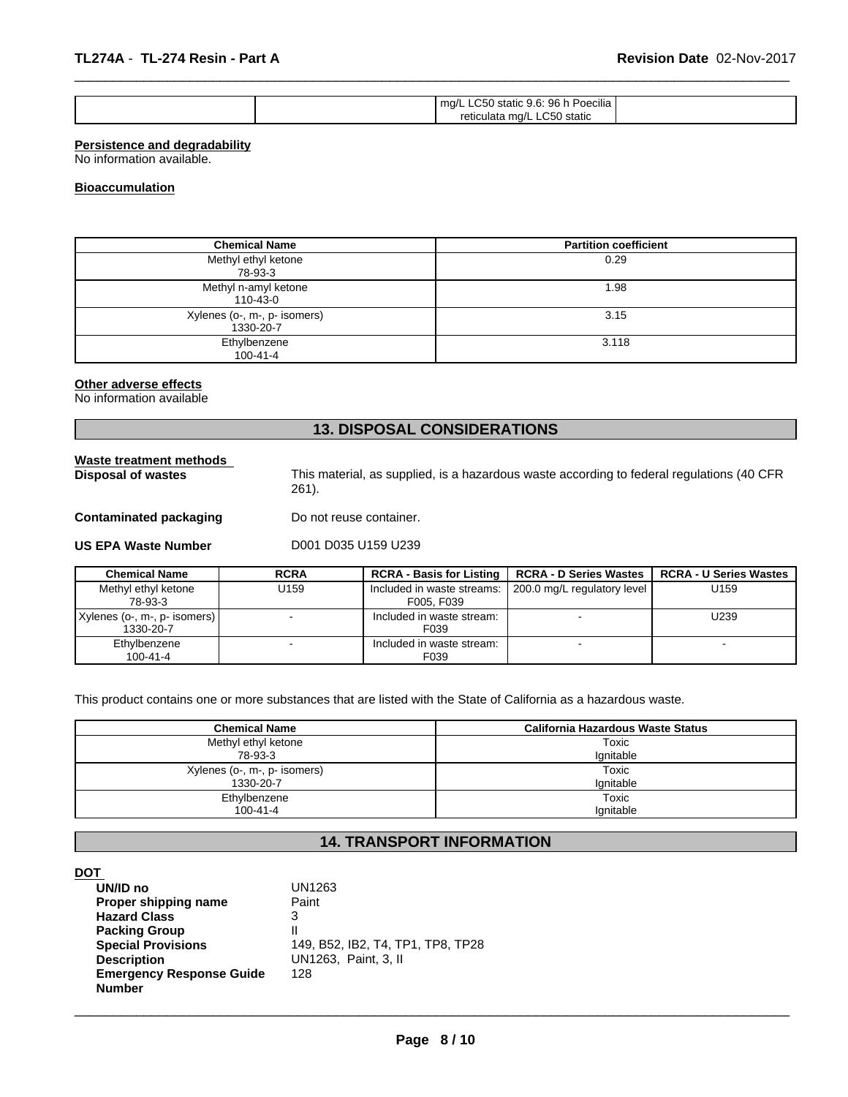| ma/L<br>retic | $\cdots$<br>96<br>Poecilia<br>siatic<br>static<br>maa,<br>$\sim$<br>culata |  |
|---------------|----------------------------------------------------------------------------|--|
|               |                                                                            |  |

 $\overline{\phantom{a}}$  ,  $\overline{\phantom{a}}$  ,  $\overline{\phantom{a}}$  ,  $\overline{\phantom{a}}$  ,  $\overline{\phantom{a}}$  ,  $\overline{\phantom{a}}$  ,  $\overline{\phantom{a}}$  ,  $\overline{\phantom{a}}$  ,  $\overline{\phantom{a}}$  ,  $\overline{\phantom{a}}$  ,  $\overline{\phantom{a}}$  ,  $\overline{\phantom{a}}$  ,  $\overline{\phantom{a}}$  ,  $\overline{\phantom{a}}$  ,  $\overline{\phantom{a}}$  ,  $\overline{\phantom{a}}$ 

# **Persistence and degradability**

No information available.

# **Bioaccumulation**

| <b>Chemical Name</b>                      | <b>Partition coefficient</b> |
|-------------------------------------------|------------------------------|
| Methyl ethyl ketone<br>78-93-3            | 0.29                         |
| Methyl n-amyl ketone<br>110-43-0          | 1.98                         |
| Xylenes (o-, m-, p- isomers)<br>1330-20-7 | 3.15                         |
| Ethylbenzene<br>$100 - 41 - 4$            | 3.118                        |

### **Other adverse effects**

No information available

# **13. DISPOSAL CONSIDERATIONS**

**Waste treatment methods** 

**Disposal of wastes** This material, as supplied, is a hazardous waste according to federal regulations (40 CFR 261).

**Contaminated packaging Do not reuse container.** 

**US EPA Waste Number D001 D035 U159 U239** 

| <b>Chemical Name</b>                        | <b>RCRA</b> | <b>RCRA - Basis for Listing</b>          | <b>RCRA - D Series Wastes</b> | <b>RCRA - U Series Wastes</b> |
|---------------------------------------------|-------------|------------------------------------------|-------------------------------|-------------------------------|
| Methyl ethyl ketone<br>78-93-3              | U159        | Included in waste streams:<br>F005, F039 | 200.0 mg/L regulatory level   | U159                          |
| Xylenes (o-, m-, p- isomers)  <br>1330-20-7 |             | Included in waste stream:<br>F039        |                               | U239                          |
| Ethylbenzene<br>$100 - 41 - 4$              |             | Included in waste stream:<br>F039        |                               |                               |

This product contains one or more substances that are listed with the State of California as a hazardous waste.

| <b>Chemical Name</b>         | California Hazardous Waste Status |
|------------------------------|-----------------------------------|
| Methyl ethyl ketone          | Toxic                             |
| 78-93-3                      | Ignitable                         |
| Xylenes (o-, m-, p- isomers) | Toxic                             |
| 1330-20-7                    | Ignitable                         |
| Ethylbenzene                 | Toxic                             |
| $100 - 41 - 4$               | Ignitable                         |

# **14. TRANSPORT INFORMATION**

### **DOT**

| UN/ID no                        | UN1263                            |
|---------------------------------|-----------------------------------|
| Proper shipping name            | Paint                             |
| <b>Hazard Class</b>             | 3                                 |
| <b>Packing Group</b>            | $\mathsf{I}$                      |
| <b>Special Provisions</b>       | 149, B52, IB2, T4, TP1, TP8, TP28 |
| <b>Description</b>              | UN1263, Paint, 3, II              |
| <b>Emergency Response Guide</b> | 128                               |
| <b>Number</b>                   |                                   |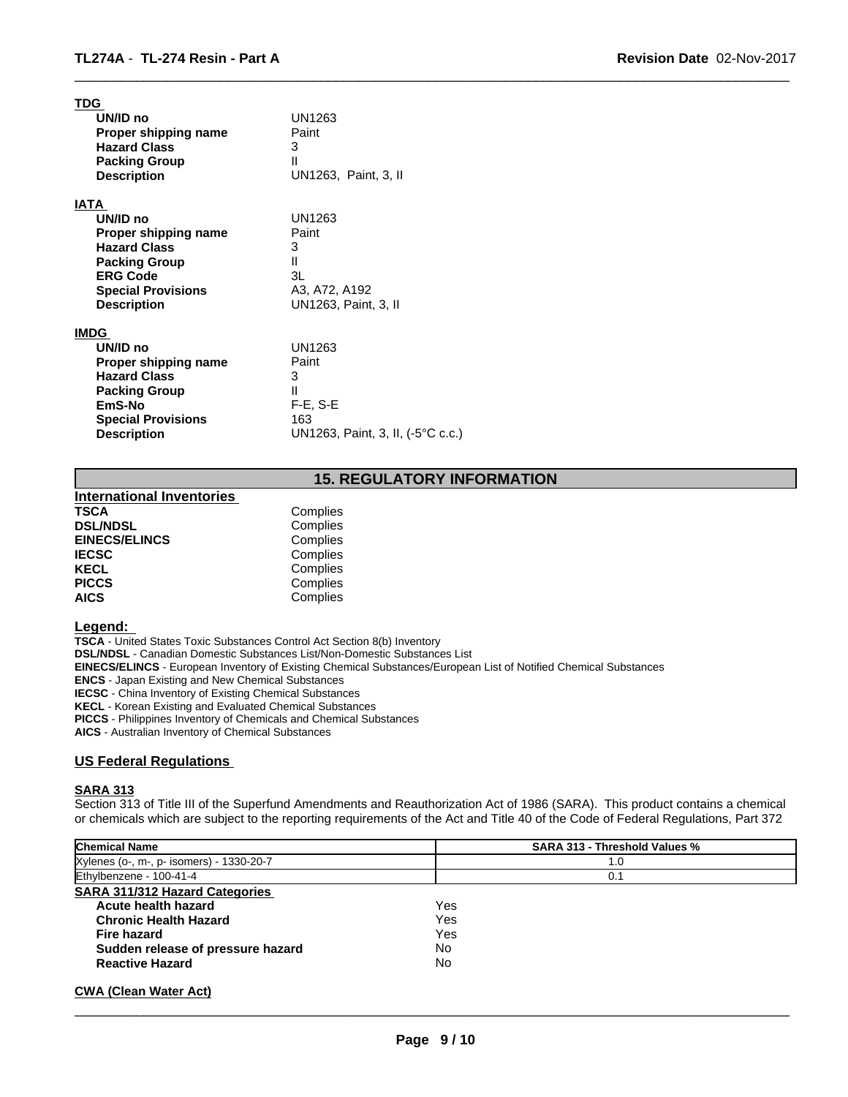| <b>TDG</b>                |                                   |
|---------------------------|-----------------------------------|
| UN/ID no                  | <b>UN1263</b>                     |
| Proper shipping name      | Paint                             |
| <b>Hazard Class</b>       | 3                                 |
| <b>Packing Group</b>      | $\mathbf{I}$                      |
| <b>Description</b>        | UN1263, Paint, 3, II              |
| <b>IATA</b>               |                                   |
| UN/ID no                  | <b>UN1263</b>                     |
| Proper shipping name      | Paint                             |
| <b>Hazard Class</b>       | 3                                 |
| <b>Packing Group</b>      | Ш                                 |
| <b>ERG Code</b>           | 3L                                |
| <b>Special Provisions</b> | A3, A72, A192                     |
| <b>Description</b>        | UN1263, Paint, 3, II              |
| <b>IMDG</b>               |                                   |
| UN/ID no                  | UN1263                            |
| Proper shipping name      | Paint                             |
| <b>Hazard Class</b>       | 3                                 |
| <b>Packing Group</b>      | $\mathsf{II}$                     |
| EmS-No                    | $F-E$ , S-E                       |
| <b>Special Provisions</b> | 163                               |
| <b>Description</b>        | UN1263, Paint, 3, II, (-5°C c.c.) |
|                           |                                   |

# **15. REGULATORY INFORMATION**

 $\overline{\phantom{a}}$  ,  $\overline{\phantom{a}}$  ,  $\overline{\phantom{a}}$  ,  $\overline{\phantom{a}}$  ,  $\overline{\phantom{a}}$  ,  $\overline{\phantom{a}}$  ,  $\overline{\phantom{a}}$  ,  $\overline{\phantom{a}}$  ,  $\overline{\phantom{a}}$  ,  $\overline{\phantom{a}}$  ,  $\overline{\phantom{a}}$  ,  $\overline{\phantom{a}}$  ,  $\overline{\phantom{a}}$  ,  $\overline{\phantom{a}}$  ,  $\overline{\phantom{a}}$  ,  $\overline{\phantom{a}}$ 

| <b>International Inventories</b> |
|----------------------------------|
| Complies                         |
| Complies                         |
| Complies                         |
| Complies                         |
| Complies                         |
| Complies                         |
| Complies                         |
|                                  |

### **Legend:**

**TSCA** - United States Toxic Substances Control Act Section 8(b) Inventory **DSL/NDSL** - Canadian Domestic Substances List/Non-Domestic Substances List **EINECS/ELINCS** - European Inventory of Existing Chemical Substances/European List of Notified Chemical Substances **ENCS** - Japan Existing and New Chemical Substances **IECSC** - China Inventory of Existing Chemical Substances **KECL** - Korean Existing and Evaluated Chemical Substances **PICCS** - Philippines Inventory of Chemicals and Chemical Substances **AICS** - Australian Inventory of Chemical Substances

# **US Federal Regulations**

### **SARA 313**

Section 313 of Title III of the Superfund Amendments and Reauthorization Act of 1986 (SARA). This product contains a chemical or chemicals which are subject to the reporting requirements of the Act and Title 40 of the Code of Federal Regulations, Part 372

| <b>SARA 313 - Threshold Values %</b> |
|--------------------------------------|
| 1.0                                  |
| 0.1                                  |
|                                      |
| Yes                                  |
| Yes                                  |
| Yes                                  |
| No                                   |
| No                                   |
|                                      |

# **CWA (Clean Water Act)**